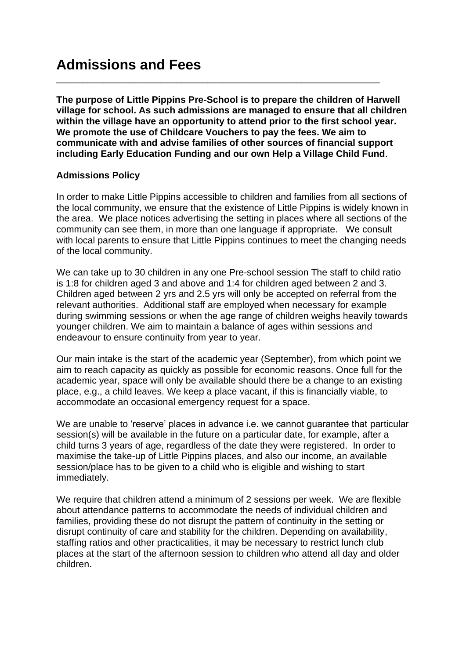**The purpose of Little Pippins Pre-School is to prepare the children of Harwell village for school. As such admissions are managed to ensure that all children within the village have an opportunity to attend prior to the first school year. We promote the use of Childcare Vouchers to pay the fees. We aim to communicate with and advise families of other sources of financial support including Early Education Funding and our own Help a Village Child Fund**.

\_\_\_\_\_\_\_\_\_\_\_\_\_\_\_\_\_\_\_\_\_\_\_\_\_\_\_\_\_\_\_\_\_\_\_\_\_\_\_\_\_\_\_\_\_\_\_\_\_\_\_\_\_\_\_\_\_\_\_\_\_\_

# **Admissions Policy**

In order to make Little Pippins accessible to children and families from all sections of the local community, we ensure that the existence of Little Pippins is widely known in the area. We place notices advertising the setting in places where all sections of the community can see them, in more than one language if appropriate. We consult with local parents to ensure that Little Pippins continues to meet the changing needs of the local community.

We can take up to 30 children in any one Pre-school session The staff to child ratio is 1:8 for children aged 3 and above and 1:4 for children aged between 2 and 3. Children aged between 2 yrs and 2.5 yrs will only be accepted on referral from the relevant authorities. Additional staff are employed when necessary for example during swimming sessions or when the age range of children weighs heavily towards younger children. We aim to maintain a balance of ages within sessions and endeavour to ensure continuity from year to year.

Our main intake is the start of the academic year (September), from which point we aim to reach capacity as quickly as possible for economic reasons. Once full for the academic year, space will only be available should there be a change to an existing place, e.g., a child leaves. We keep a place vacant, if this is financially viable, to accommodate an occasional emergency request for a space.

We are unable to 'reserve' places in advance i.e. we cannot guarantee that particular session(s) will be available in the future on a particular date, for example, after a child turns 3 years of age, regardless of the date they were registered. In order to maximise the take-up of Little Pippins places, and also our income, an available session/place has to be given to a child who is eligible and wishing to start immediately.

We require that children attend a minimum of 2 sessions per week. We are flexible about attendance patterns to accommodate the needs of individual children and families, providing these do not disrupt the pattern of continuity in the setting or disrupt continuity of care and stability for the children. Depending on availability, staffing ratios and other practicalities, it may be necessary to restrict lunch club places at the start of the afternoon session to children who attend all day and older children.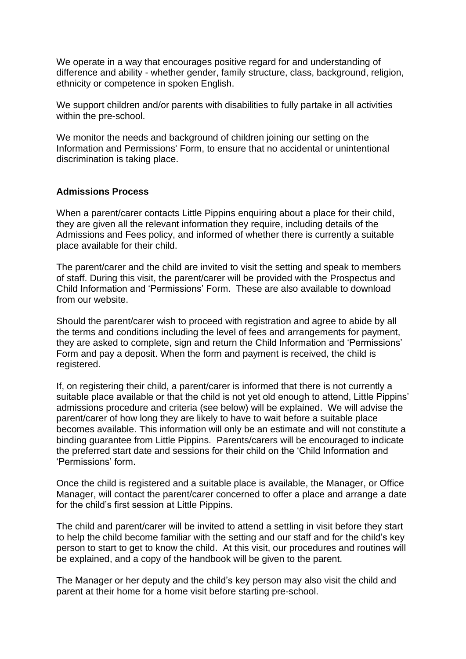We operate in a way that encourages positive regard for and understanding of difference and ability - whether gender, family structure, class, background, religion, ethnicity or competence in spoken English.

We support children and/or parents with disabilities to fully partake in all activities within the pre-school.

We monitor the needs and background of children joining our setting on the Information and Permissions' Form, to ensure that no accidental or unintentional discrimination is taking place.

#### **Admissions Process**

When a parent/carer contacts Little Pippins enquiring about a place for their child, they are given all the relevant information they require, including details of the Admissions and Fees policy, and informed of whether there is currently a suitable place available for their child.

The parent/carer and the child are invited to visit the setting and speak to members of staff. During this visit, the parent/carer will be provided with the Prospectus and Child Information and 'Permissions' Form. These are also available to download from our website.

Should the parent/carer wish to proceed with registration and agree to abide by all the terms and conditions including the level of fees and arrangements for payment, they are asked to complete, sign and return the Child Information and 'Permissions' Form and pay a deposit. When the form and payment is received, the child is registered.

If, on registering their child, a parent/carer is informed that there is not currently a suitable place available or that the child is not yet old enough to attend, Little Pippins' admissions procedure and criteria (see below) will be explained. We will advise the parent/carer of how long they are likely to have to wait before a suitable place becomes available. This information will only be an estimate and will not constitute a binding guarantee from Little Pippins. Parents/carers will be encouraged to indicate the preferred start date and sessions for their child on the 'Child Information and 'Permissions' form.

Once the child is registered and a suitable place is available, the Manager, or Office Manager, will contact the parent/carer concerned to offer a place and arrange a date for the child's first session at Little Pippins.

The child and parent/carer will be invited to attend a settling in visit before they start to help the child become familiar with the setting and our staff and for the child's key person to start to get to know the child. At this visit, our procedures and routines will be explained, and a copy of the handbook will be given to the parent.

The Manager or her deputy and the child's key person may also visit the child and parent at their home for a home visit before starting pre-school.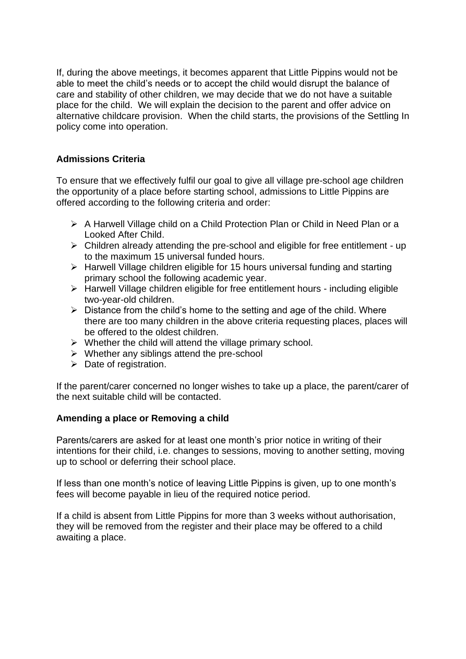If, during the above meetings, it becomes apparent that Little Pippins would not be able to meet the child's needs or to accept the child would disrupt the balance of care and stability of other children, we may decide that we do not have a suitable place for the child. We will explain the decision to the parent and offer advice on alternative childcare provision. When the child starts, the provisions of the Settling In policy come into operation.

# **Admissions Criteria**

To ensure that we effectively fulfil our goal to give all village pre-school age children the opportunity of a place before starting school, admissions to Little Pippins are offered according to the following criteria and order:

- ➢ A Harwell Village child on a Child Protection Plan or Child in Need Plan or a Looked After Child.
- ➢ Children already attending the pre-school and eligible for free entitlement up to the maximum 15 universal funded hours.
- ➢ Harwell Village children eligible for 15 hours universal funding and starting primary school the following academic year.
- ➢ Harwell Village children eligible for free entitlement hours including eligible two-year-old children.
- $\triangleright$  Distance from the child's home to the setting and age of the child. Where there are too many children in the above criteria requesting places, places will be offered to the oldest children.
- $\triangleright$  Whether the child will attend the village primary school.
- ➢ Whether any siblings attend the pre-school
- $\triangleright$  Date of registration.

If the parent/carer concerned no longer wishes to take up a place, the parent/carer of the next suitable child will be contacted.

# **Amending a place or Removing a child**

Parents/carers are asked for at least one month's prior notice in writing of their intentions for their child, i.e. changes to sessions, moving to another setting, moving up to school or deferring their school place.

If less than one month's notice of leaving Little Pippins is given, up to one month's fees will become payable in lieu of the required notice period.

If a child is absent from Little Pippins for more than 3 weeks without authorisation, they will be removed from the register and their place may be offered to a child awaiting a place.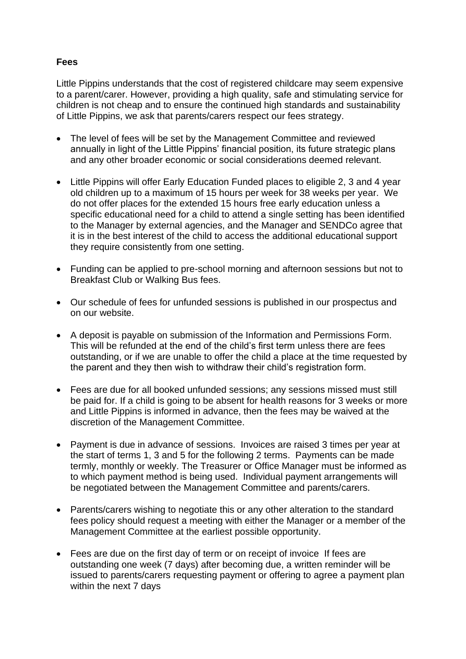## **Fees**

Little Pippins understands that the cost of registered childcare may seem expensive to a parent/carer. However, providing a high quality, safe and stimulating service for children is not cheap and to ensure the continued high standards and sustainability of Little Pippins, we ask that parents/carers respect our fees strategy.

- The level of fees will be set by the Management Committee and reviewed annually in light of the Little Pippins' financial position, its future strategic plans and any other broader economic or social considerations deemed relevant.
- Little Pippins will offer Early Education Funded places to eligible 2, 3 and 4 year old children up to a maximum of 15 hours per week for 38 weeks per year. We do not offer places for the extended 15 hours free early education unless a specific educational need for a child to attend a single setting has been identified to the Manager by external agencies, and the Manager and SENDCo agree that it is in the best interest of the child to access the additional educational support they require consistently from one setting.
- Funding can be applied to pre-school morning and afternoon sessions but not to Breakfast Club or Walking Bus fees.
- Our schedule of fees for unfunded sessions is published in our prospectus and on our website.
- A deposit is payable on submission of the Information and Permissions Form. This will be refunded at the end of the child's first term unless there are fees outstanding, or if we are unable to offer the child a place at the time requested by the parent and they then wish to withdraw their child's registration form.
- Fees are due for all booked unfunded sessions; any sessions missed must still be paid for. If a child is going to be absent for health reasons for 3 weeks or more and Little Pippins is informed in advance, then the fees may be waived at the discretion of the Management Committee.
- Payment is due in advance of sessions. Invoices are raised 3 times per year at the start of terms 1, 3 and 5 for the following 2 terms. Payments can be made termly, monthly or weekly. The Treasurer or Office Manager must be informed as to which payment method is being used. Individual payment arrangements will be negotiated between the Management Committee and parents/carers.
- Parents/carers wishing to negotiate this or any other alteration to the standard fees policy should request a meeting with either the Manager or a member of the Management Committee at the earliest possible opportunity.
- Fees are due on the first day of term or on receipt of invoice If fees are outstanding one week (7 days) after becoming due, a written reminder will be issued to parents/carers requesting payment or offering to agree a payment plan within the next 7 days